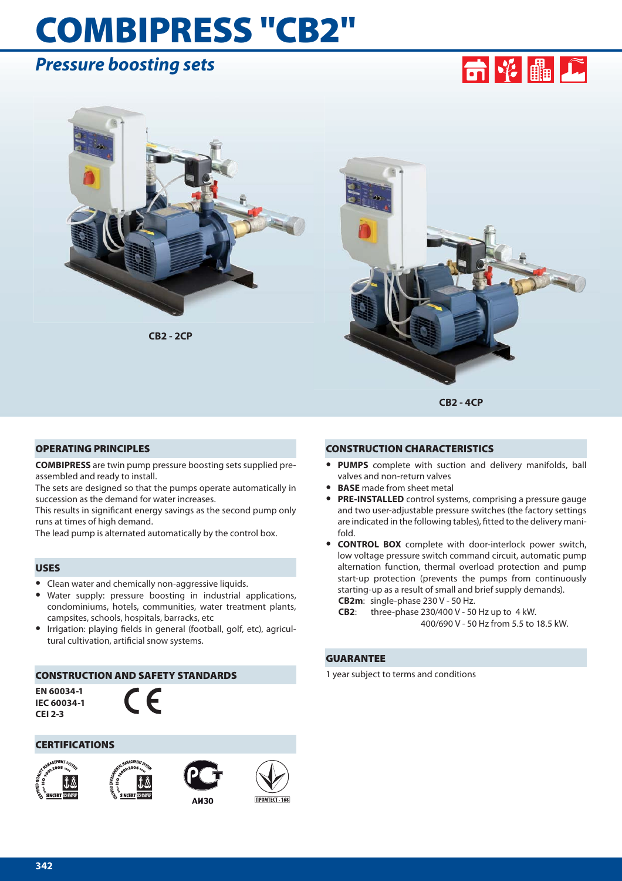# **COMBIPRESS "CB2"**

## *Pressure boosting sets*





**CB2 - 2CP**



**CB2 - 4CP**

#### **OPERATING PRINCIPLES**

**COMBIPRESS** are twin pump pressure boosting sets supplied preassembled and ready to install.

The sets are designed so that the pumps operate automatically in succession as the demand for water increases.

This results in significant energy savings as the second pump only runs at times of high demand.

The lead pump is alternated automatically by the control box.

#### **USES**

- **•** Clean water and chemically non-aggressive liquids.
- **•** Water supply: pressure boosting in industrial applications, condominiums, hotels, communities, water treatment plants, campsites, schools, hospitals, barracks, etc
- **Irrigation: playing fields in general (football, golf, etc), agricul**tural cultivation, artificial snow systems.

#### **CONSTRUCTION AND SAFETY STANDARDS**

**EN 60034-1 IEC 60034-1 CEI 2-3**



#### **CERTIFICATIONS**









#### **CONSTRUCTION CHARACTERISTICS**

- **• PUMPS** complete with suction and delivery manifolds, ball valves and non-return valves
- **• BASE** made from sheet metal
- **• PRE-INSTALLED** control systems, comprising a pressure gauge and two user-adjustable pressure switches (the factory settings are indicated in the following tables), fitted to the delivery manifold.
- **• CONTROL BOX** complete with door-interlock power switch, low voltage pressure switch command circuit, automatic pump alternation function, thermal overload protection and pump start-up protection (prevents the pumps from continuously starting-up as a result of small and brief supply demands). **CB2m**: single-phase 230 V - 50 Hz.
	- **CB2**: three-phase 230/400 V 50 Hz up to 4 kW. 400/690 V - 50 Hz from 5.5 to 18.5 kW.

#### **GUARANTEE**

1 year subject to terms and conditions